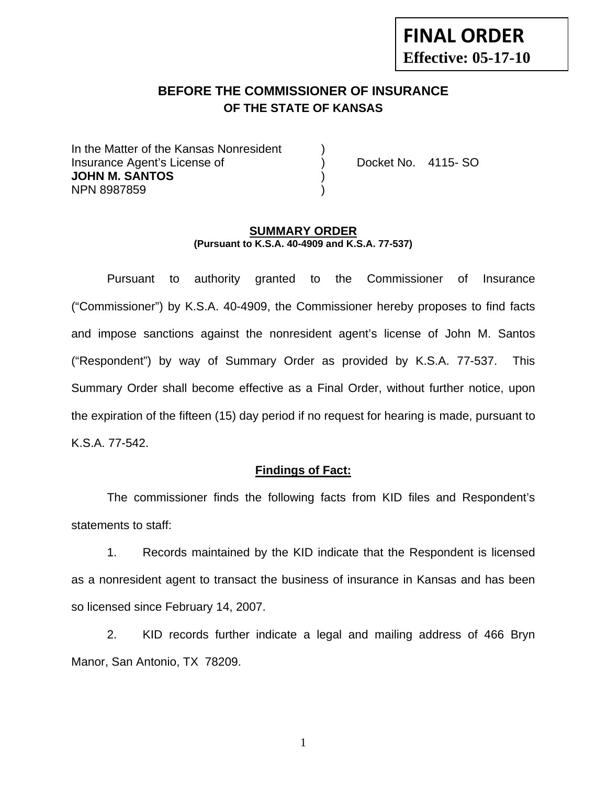# **FINAL ORDER Effective: 05-17-10**

# **BEFORE THE COMMISSIONER OF INSURANCE OF THE STATE OF KANSAS**

In the Matter of the Kansas Nonresident Insurance Agent's License of ) Docket No. 4115- SO **JOHN M. SANTOS** ) NPN 8987859 )

#### **SUMMARY ORDER (Pursuant to K.S.A. 40-4909 and K.S.A. 77-537)**

 Pursuant to authority granted to the Commissioner of Insurance ("Commissioner") by K.S.A. 40-4909, the Commissioner hereby proposes to find facts and impose sanctions against the nonresident agent's license of John M. Santos ("Respondent") by way of Summary Order as provided by K.S.A. 77-537. This Summary Order shall become effective as a Final Order, without further notice, upon the expiration of the fifteen (15) day period if no request for hearing is made, pursuant to K.S.A. 77-542.

#### **Findings of Fact:**

 The commissioner finds the following facts from KID files and Respondent's statements to staff:

 1. Records maintained by the KID indicate that the Respondent is licensed as a nonresident agent to transact the business of insurance in Kansas and has been so licensed since February 14, 2007.

 2. KID records further indicate a legal and mailing address of 466 Bryn Manor, San Antonio, TX 78209.

1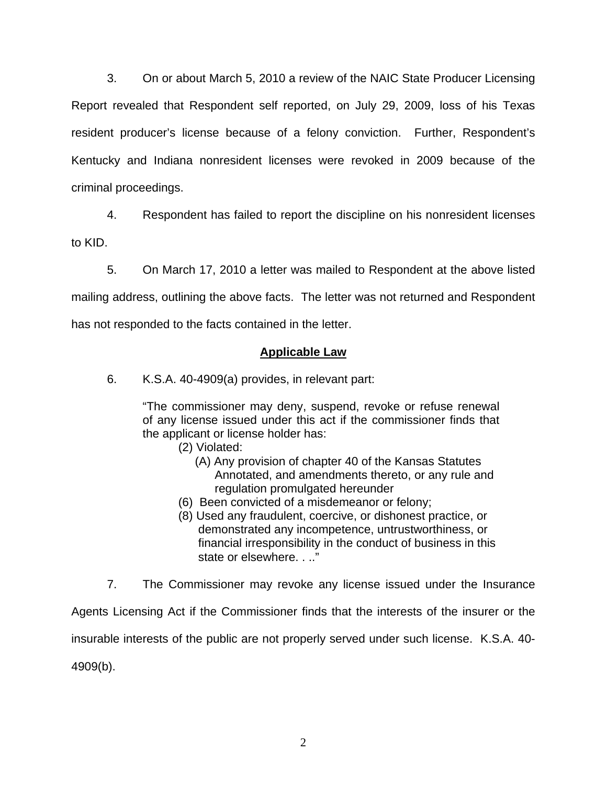3. On or about March 5, 2010 a review of the NAIC State Producer Licensing Report revealed that Respondent self reported, on July 29, 2009, loss of his Texas resident producer's license because of a felony conviction. Further, Respondent's Kentucky and Indiana nonresident licenses were revoked in 2009 because of the criminal proceedings.

 4. Respondent has failed to report the discipline on his nonresident licenses to KID.

 5. On March 17, 2010 a letter was mailed to Respondent at the above listed mailing address, outlining the above facts. The letter was not returned and Respondent has not responded to the facts contained in the letter.

### **Applicable Law**

6. K.S.A. 40-4909(a) provides, in relevant part:

"The commissioner may deny, suspend, revoke or refuse renewal of any license issued under this act if the commissioner finds that the applicant or license holder has:

- (2) Violated:
	- (A) Any provision of chapter 40 of the Kansas Statutes Annotated, and amendments thereto, or any rule and regulation promulgated hereunder
- (6) Been convicted of a misdemeanor or felony;
- (8) Used any fraudulent, coercive, or dishonest practice, or demonstrated any incompetence, untrustworthiness, or financial irresponsibility in the conduct of business in this state or elsewhere. . .."
- 7. The Commissioner may revoke any license issued under the Insurance

Agents Licensing Act if the Commissioner finds that the interests of the insurer or the insurable interests of the public are not properly served under such license. K.S.A. 40- 4909(b).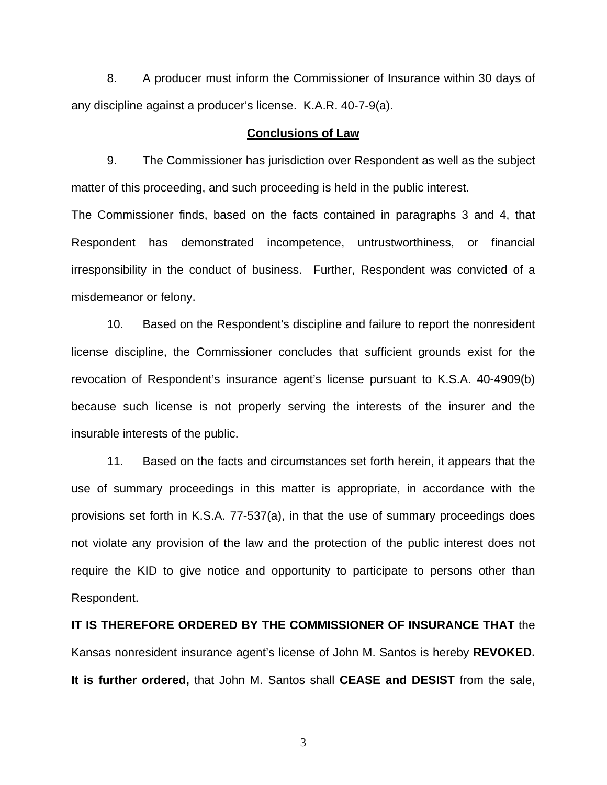8. A producer must inform the Commissioner of Insurance within 30 days of any discipline against a producer's license. K.A.R. 40-7-9(a).

#### **Conclusions of Law**

 9. The Commissioner has jurisdiction over Respondent as well as the subject matter of this proceeding, and such proceeding is held in the public interest.

The Commissioner finds, based on the facts contained in paragraphs 3 and 4, that Respondent has demonstrated incompetence, untrustworthiness, or financial irresponsibility in the conduct of business. Further, Respondent was convicted of a misdemeanor or felony.

 10. Based on the Respondent's discipline and failure to report the nonresident license discipline, the Commissioner concludes that sufficient grounds exist for the revocation of Respondent's insurance agent's license pursuant to K.S.A. 40-4909(b) because such license is not properly serving the interests of the insurer and the insurable interests of the public.

 11. Based on the facts and circumstances set forth herein, it appears that the use of summary proceedings in this matter is appropriate, in accordance with the provisions set forth in K.S.A. 77-537(a), in that the use of summary proceedings does not violate any provision of the law and the protection of the public interest does not require the KID to give notice and opportunity to participate to persons other than Respondent.

**IT IS THEREFORE ORDERED BY THE COMMISSIONER OF INSURANCE THAT** the Kansas nonresident insurance agent's license of John M. Santos is hereby **REVOKED. It is further ordered,** that John M. Santos shall **CEASE and DESIST** from the sale,

3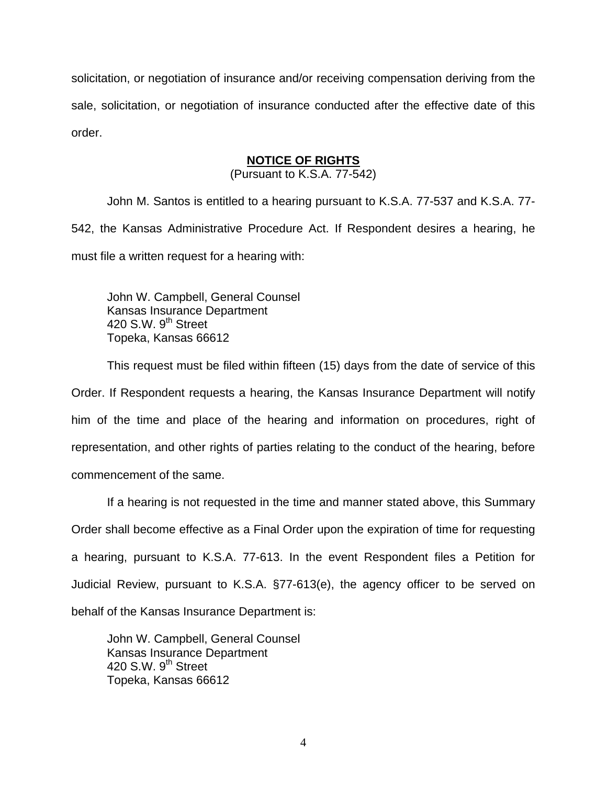solicitation, or negotiation of insurance and/or receiving compensation deriving from the sale, solicitation, or negotiation of insurance conducted after the effective date of this order.

## **NOTICE OF RIGHTS**

(Pursuant to K.S.A. 77-542)

John M. Santos is entitled to a hearing pursuant to K.S.A. 77-537 and K.S.A. 77- 542, the Kansas Administrative Procedure Act. If Respondent desires a hearing, he must file a written request for a hearing with:

 John W. Campbell, General Counsel Kansas Insurance Department 420 S.W. 9<sup>th</sup> Street Topeka, Kansas 66612

This request must be filed within fifteen (15) days from the date of service of this Order. If Respondent requests a hearing, the Kansas Insurance Department will notify him of the time and place of the hearing and information on procedures, right of representation, and other rights of parties relating to the conduct of the hearing, before commencement of the same.

If a hearing is not requested in the time and manner stated above, this Summary Order shall become effective as a Final Order upon the expiration of time for requesting a hearing, pursuant to K.S.A. 77-613. In the event Respondent files a Petition for Judicial Review, pursuant to K.S.A. §77-613(e), the agency officer to be served on behalf of the Kansas Insurance Department is:

 John W. Campbell, General Counsel Kansas Insurance Department 420 S.W.  $9<sup>th</sup>$  Street Topeka, Kansas 66612